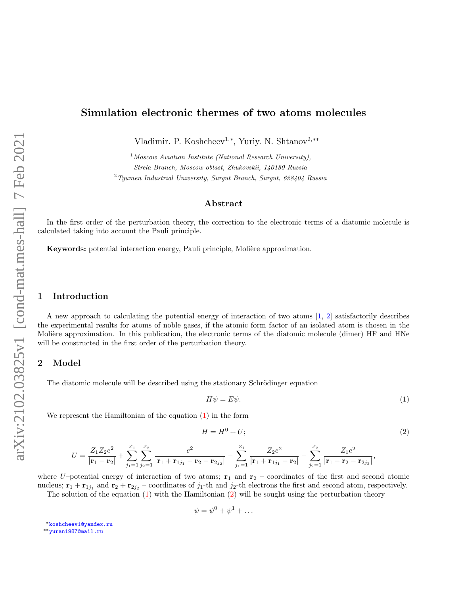# Simulation electronic thermes of two atoms molecules

Vladimir. P. Koshcheev<sup>1,\*</sup>, Yuriy. N. Shtanov<sup>2,\*\*</sup>

 $1$ Moscow Aviation Institute (National Research University), Strela Branch, Moscow oblast, Zhukovskii, 140180 Russia  $2$ Tyumen Industrial University, Surgut Branch, Surgut, 628404 Russia

#### Abstract

In the first order of the perturbation theory, the correction to the electronic terms of a diatomic molecule is calculated taking into account the Pauli principle.

Keywords: potential interaction energy, Pauli principle, Molière approximation.

#### 1 Introduction

A new approach to calculating the potential energy of interaction of two atoms [\[1,](#page-2-0) [2\]](#page-3-0) satisfactorily describes the experimental results for atoms of noble gases, if the atomic form factor of an isolated atom is chosen in the Molière approximation. In this publication, the electronic terms of the diatomic molecule (dimer) HF and HNe will be constructed in the first order of the perturbation theory.

### 2 Model

The diatomic molecule will be described using the stationary Schrödinger equation

<span id="page-0-1"></span><span id="page-0-0"></span>
$$
H\psi = E\psi. \tag{1}
$$

We represent the Hamiltonian of the equation [\(1\)](#page-0-0) in the form

$$
H = H^0 + U; \tag{2}
$$

$$
U=\frac{Z_1Z_2e^2}{|{\bf r}_1-{\bf r}_2|}+\sum_{j_1=1}^{Z_1}\sum_{j_2=1}^{Z_2}\frac{e^2}{|{\bf r}_1+{\bf r}_{1j_1}-{\bf r}_2-{\bf r}_{2j_2}|}-\sum_{j_1=1}^{Z_1}\frac{Z_2e^2}{|{\bf r}_1+{\bf r}_{1j_1}-{\bf r}_2|}-\sum_{j_2=1}^{Z_2}\frac{Z_1e^2}{|{\bf r}_1-{\bf r}_2-{\bf r}_{2j_2}|},
$$

where U–potential energy of interaction of two atoms;  $\mathbf{r}_1$  and  $\mathbf{r}_2$  – coordinates of the first and second atomic nucleus;  $\mathbf{r}_1 + \mathbf{r}_{1j_1}$  and  $\mathbf{r}_2 + \mathbf{r}_{2j_2}$  – coordinates of  $j_1$ -th and  $j_2$ -th electrons the first and second atom, respectively.

The solution of the equation [\(1\)](#page-0-0) with the Hamiltonian [\(2\)](#page-0-1) will be sought using the perturbation theory

$$
\psi = \psi^0 + \psi^1 + \dots
$$

<sup>∗</sup>[koshcheev1@yandex.ru](mailto:koshcheev1@yandex.ru)

<sup>∗∗</sup>[yuran1987@mail.ru](mailto:yuran1987@mail.ru)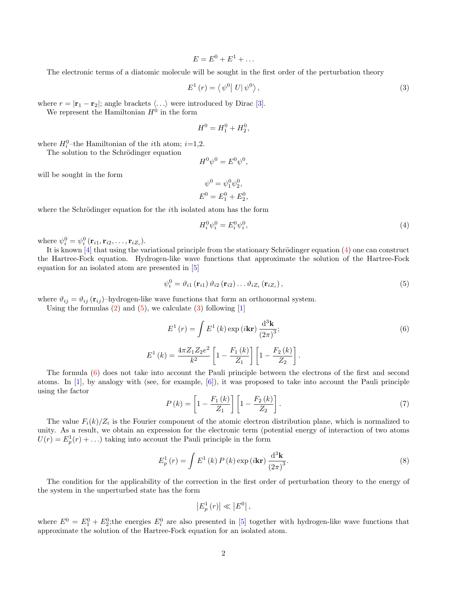<span id="page-1-2"></span>
$$
E = E^0 + E^1 + \dots
$$

The electronic terms of a diatomic molecule will be sought in the first order of the perturbation theory

$$
E^{1}(r) = \langle \psi^{0} | U | \psi^{0} \rangle, \qquad (3)
$$

where  $r = |\mathbf{r}_1 - \mathbf{r}_2|$ ; angle brackets  $\langle \ldots \rangle$  were introduced by Dirac [\[3\]](#page-3-1).

We represent the Hamiltonian  $H^0$  in the form

$$
H^0 = H_1^0 + H_2^0,
$$

where  $H_i^0$ -the Hamiltonian of the *i*th atom; *i*=1,2.

The solution to the Schrödinger equation

$$
H^0\psi^0 = E^0\psi^0,
$$

will be sought in the form

$$
\psi^0 = \psi_1^0 \psi_2^0,
$$
  

$$
E^0 = E_1^0 + E_2^0,
$$

where the Schrödinger equation for the  $i$ th isolated atom has the form

<span id="page-1-1"></span><span id="page-1-0"></span>
$$
H_i^0 \psi_i^0 = E_i^0 \psi_i^0,\tag{4}
$$

where  $\psi_i^0 = \psi_i^0(\mathbf{r}_{i1}, \mathbf{r}_{i2}, \dots, \mathbf{r}_{iZ_i}).$ 

It is known  $[4]$  that using the variational principle from the stationary Schrödinger equation  $(4)$  one can construct the Hartree-Fock equation. Hydrogen-like wave functions that approximate the solution of the Hartree-Fock equation for an isolated atom are presented in [\[5\]](#page-3-3)

<span id="page-1-3"></span>
$$
\psi_i^0 = \vartheta_{i1}(\mathbf{r}_{i1}) \vartheta_{i2}(\mathbf{r}_{i2}) \dots \vartheta_{iZ_i}(\mathbf{r}_{iZ_i}), \qquad (5)
$$

where  $\vartheta_{ij} = \vartheta_{ij} (\mathbf{r}_{ij})$ -hydrogen-like wave functions that form an orthonormal system.

Using the formulas  $(2)$  and  $(5)$ , we calculate  $(3)$  following  $[1]$ 

 $E^1$ 

$$
E^{1}(r) = \int E^{1}(k) \exp(i\mathbf{k}\mathbf{r}) \frac{d^{3}\mathbf{k}}{(2\pi)^{3}};
$$
\n
$$
(k) = \frac{4\pi Z_{1} Z_{2} e^{2}}{k^{2}} \left[1 - \frac{F_{1}(k)}{Z_{1}}\right] \left[1 - \frac{F_{2}(k)}{Z_{2}}\right].
$$
\n(6)

The formula [\(6\)](#page-1-3) does not take into account the Pauli principle between the electrons of the first and second atoms. In  $[1]$ , by analogy with (see, for example,  $[6]$ ), it was proposed to take into account the Pauli principle using the factor

$$
P(k) = \left[1 - \frac{F_1(k)}{Z_1}\right] \left[1 - \frac{F_2(k)}{Z_2}\right].
$$
 (7)

The value  $F_i(k)/Z_i$  is the Fourier component of the atomic electron distribution plane, which is normalized to unity. As a result, we obtain an expression for the electronic term (potential energy of interaction of two atoms  $U(r) = E_p^1(r) + ...$  taking into account the Pauli principle in the form

$$
E_p^1(r) = \int E^1(k) P(k) \exp(i\mathbf{kr}) \frac{\mathrm{d}^3 \mathbf{k}}{\left(2\pi\right)^3}.
$$
 (8)

The condition for the applicability of the correction in the first order of perturbation theory to the energy of the system in the unperturbed state has the form

$$
\left|E_p^1(r)\right| \ll \left|E^0\right|,
$$

where  $E^0 = E_1^0 + E_2^0$ ; the energies  $E_i^0$  are also presented in [\[5\]](#page-3-3) together with hydrogen-like wave functions that approximate the solution of the Hartree-Fock equation for an isolated atom.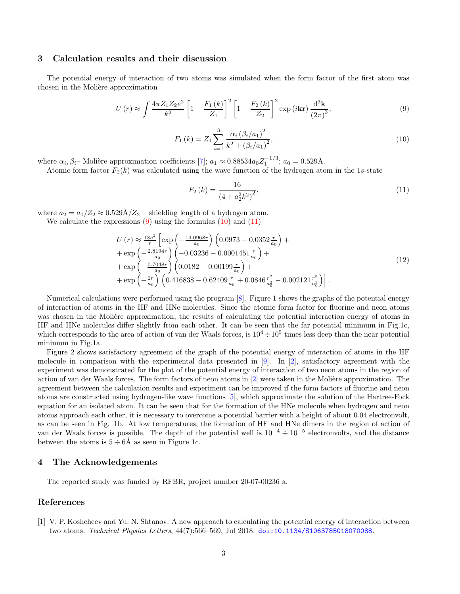#### 3 Calculation results and their discussion

The potential energy of interaction of two atoms was simulated when the form factor of the first atom was chosen in the Molière approximation

<span id="page-2-1"></span>
$$
U(r) \approx \int \frac{4\pi Z_1 Z_2 e^2}{k^2} \left[ 1 - \frac{F_1(k)}{Z_1} \right]^2 \left[ 1 - \frac{F_2(k)}{Z_2} \right]^2 \exp(i\mathbf{kr}) \frac{d^3 \mathbf{k}}{(2\pi)^3};
$$
\n(9)

$$
F_1(k) = Z_1 \sum_{i=1}^{3} \frac{\alpha_i (\beta_i/a_1)^2}{k^2 + (\beta_i/a_1)^2},
$$
\n(10)

<span id="page-2-2"></span>where  $\alpha_i, \beta_i$ – Molière approximation coefficients [\[7\]](#page-3-5);  $a_1 \approx 0.88534 a_0 Z_1^{-1/3}$ ;  $a_0 = 0.529$ Å.

Atomic form factor  $F_2(k)$  was calculated using the wave function of the hydrogen atom in the 1s-state

<span id="page-2-3"></span>
$$
F_2(k) = \frac{16}{(4 + a_2^2 k^2)^2},\tag{11}
$$

where  $a_2 = a_0/Z_2 \approx 0.529 \text{\AA}/Z_2$  – shielding length of a hydrogen atom.

We calculate the expressions  $(9)$  using the formulas  $(10)$  and  $(11)$ 

$$
U(r) \approx \frac{18e^2}{r} \left[ \exp\left(-\frac{14.0968r}{a_0}\right) \left(0.0973 - 0.0352 \frac{r}{a_0}\right) + \exp\left(-\frac{2.8194r}{a_0}\right) \left(-0.03236 - 0.0001451 \frac{r}{a_0}\right) + \exp\left(-\frac{0.7048r}{a_0}\right) \left(0.0182 - 0.00199 \frac{r}{a_0}\right) + \exp\left(-\frac{2r}{a_0}\right) \left(0.416838 - 0.62409 \frac{r}{a_0} + 0.0846 \frac{r^2}{a_0^2} - 0.002121 \frac{r^3}{a_0^3}\right) \right].
$$
\n(12)

Numerical calculations were performed using the program [\[8\]](#page-3-6). Figure 1 shows the graphs of the potential energy of interaction of atoms in the HF and HNe molecules. Since the atomic form factor for fluorine and neon atoms was chosen in the Molière approximation, the results of calculating the potential interaction energy of atoms in HF and HNe molecules differ slightly from each other. It can be seen that the far potential minimum in Fig.1c, which corresponds to the area of action of van der Waals forces, is  $10^4 \div 10^5$  times less deep than the near potential minimum in Fig.1a.

Figure 2 shows satisfactory agreement of the graph of the potential energy of interaction of atoms in the HF molecule in comparison with the experimental data presented in [\[9\]](#page-3-7). In [\[2\]](#page-3-0), satisfactory agreement with the experiment was demonstrated for the plot of the potential energy of interaction of two neon atoms in the region of action of van der Waals forces. The form factors of neon atoms in  $[2]$  were taken in the Molière approximation. The agreement between the calculation results and experiment can be improved if the form factors of fluorine and neon atoms are constructed using hydrogen-like wave functions [\[5\]](#page-3-3), which approximate the solution of the Hartree-Fock equation for an isolated atom. It can be seen that for the formation of the HNe molecule when hydrogen and neon atoms approach each other, it is necessary to overcome a potential barrier with a height of about 0.04 electronvolt, as can be seen in Fig. 1b. At low temperatures, the formation of HF and HNe dimers in the region of action of van der Waals forces is possible. The depth of the potential well is  $10^{-4} \div 10^{-5}$  electronvolts, and the distance between the atoms is  $5 \div 6\text{\AA}$  as seen in Figure 1c.

#### 4 The Acknowledgements

The reported study was funded by RFBR, project number 20-07-00236 a.

#### References

<span id="page-2-0"></span>[1] V. P. Koshcheev and Yu. N. Shtanov. A new approach to calculating the potential energy of interaction between two atoms. Technical Physics Letters, 44(7):566-569, Jul 2018. [doi:10.1134/S1063785018070088](https://doi.org/10.1134/S1063785018070088).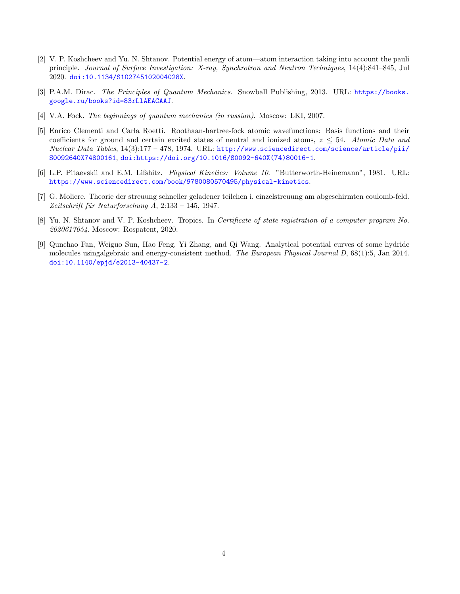- <span id="page-3-0"></span>[2] V. P. Koshcheev and Yu. N. Shtanov. Potential energy of atom—atom interaction taking into account the pauli principle. Journal of Surface Investigation: X-ray, Synchrotron and Neutron Techniques, 14(4):841–845, Jul 2020. [doi:10.1134/S102745102004028X](https://doi.org/10.1134/S102745102004028X).
- <span id="page-3-1"></span>[3] P.A.M. Dirac. The Principles of Quantum Mechanics. Snowball Publishing, 2013. URL: [https://books.](https://books.google.ru/books?id=83rLlAEACAAJ) [google.ru/books?id=83rLlAEACAAJ](https://books.google.ru/books?id=83rLlAEACAAJ).
- <span id="page-3-2"></span>[4] V.A. Fock. The beginnings of quantum mechanics (in russian). Moscow: LKI, 2007.
- <span id="page-3-3"></span>[5] Enrico Clementi and Carla Roetti. Roothaan-hartree-fock atomic wavefunctions: Basis functions and their coefficients for ground and certain excited states of neutral and ionized atoms,  $z \leq 54$ . Atomic Data and Nuclear Data Tables, 14(3):177 – 478, 1974. URL: [http://www.sciencedirect.com/science/article/pii/](http://www.sciencedirect.com/science/article/pii/S0092640X74800161) [S0092640X74800161](http://www.sciencedirect.com/science/article/pii/S0092640X74800161), [doi:https://doi.org/10.1016/S0092-640X\(74\)80016-1](https://doi.org/https://doi.org/10.1016/S0092-640X(74)80016-1).
- <span id="page-3-4"></span>[6] L.P. Pitaevskii and E.M. Lifshitz. Physical Kinetics: Volume 10. "Butterworth-Heinemann", 1981. URL: <https://www.sciencedirect.com/book/9780080570495/physical-kinetics>.
- <span id="page-3-5"></span>[7] G. Moliere. Theorie der streuung schneller geladener teilchen i. einzelstreuung am abgeschirmten coulomb-feld. Zeitschrift für Naturforschung  $A$ , 2:133 – 145, 1947.
- <span id="page-3-6"></span>[8] Yu. N. Shtanov and V. P. Koshcheev. Tropics. In Certificate of state registration of a computer program No. 2020617054. Moscow: Rospatent, 2020.
- <span id="page-3-7"></span>[9] Qunchao Fan, Weiguo Sun, Hao Feng, Yi Zhang, and Qi Wang. Analytical potential curves of some hydride molecules usingalgebraic and energy-consistent method. The European Physical Journal D, 68(1):5, Jan 2014. [doi:10.1140/epjd/e2013-40437-2](https://doi.org/10.1140/epjd/e2013-40437-2).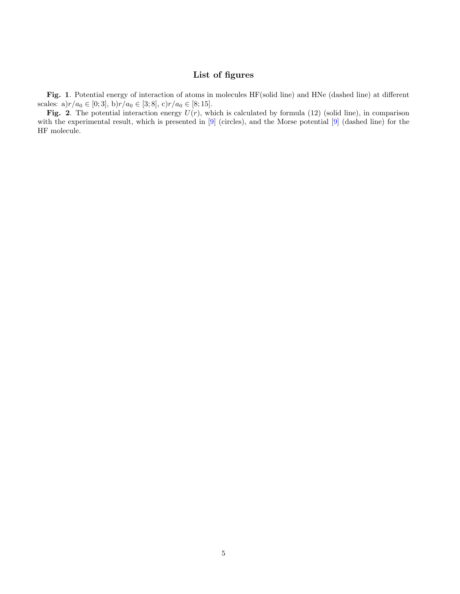## List of figures

Fig. 1. Potential energy of interaction of atoms in molecules HF(solid line) and HNe (dashed line) at different scales:  $a)r/a_0 \in [0; 3]$ ,  $b)r/a_0 \in [3; 8]$ ,  $c)r/a_0 \in [8; 15]$ .

Fig. 2. The potential interaction energy  $U(r)$ , which is calculated by formula (12) (solid line), in comparison with the experimental result, which is presented in [\[9\]](#page-3-7) (circles), and the Morse potential [9] (dashed line) for the HF molecule.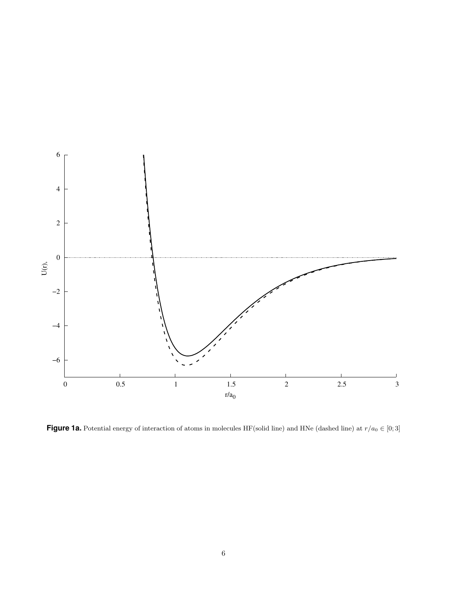

**Figure 1a.** Potential energy of interaction of atoms in molecules HF(solid line) and HNe (dashed line) at  $r/a_0 \in [0; 3]$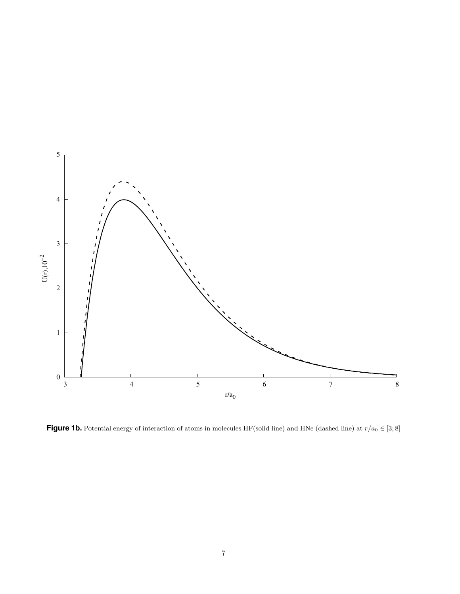

**Figure 1b.** Potential energy of interaction of atoms in molecules HF(solid line) and HNe (dashed line) at  $r/a_0 \in [3, 8]$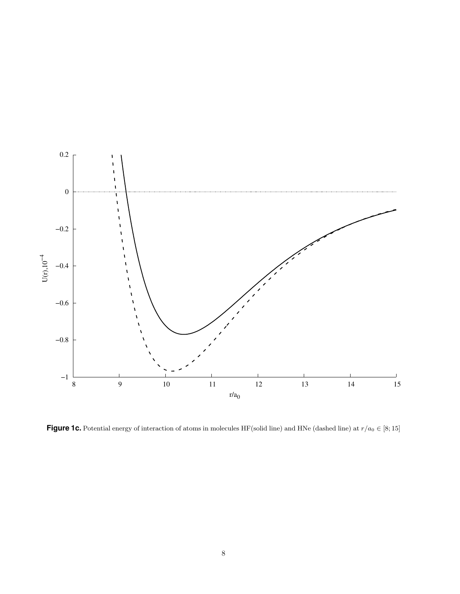

**Figure 1c.** Potential energy of interaction of atoms in molecules HF(solid line) and HNe (dashed line) at  $r/a_0 \in [8; 15]$